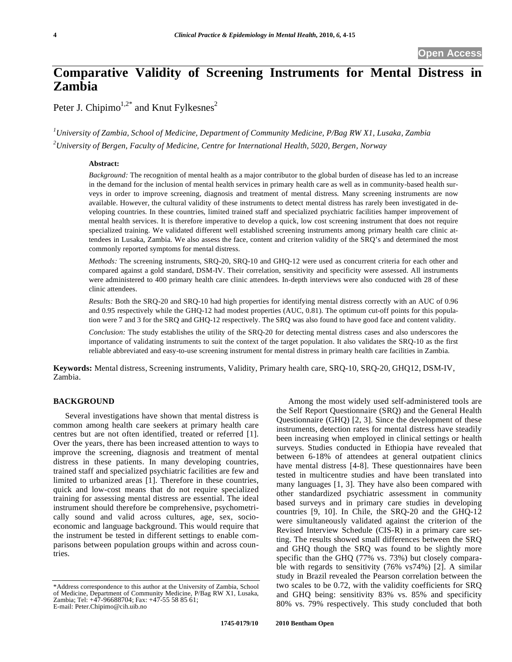# **Comparative Validity of Screening Instruments for Mental Distress in Zambia**

Peter J. Chipimo<sup>1,2\*</sup> and Knut Fylkesnes<sup>2</sup>

*1 University of Zambia, School of Medicine, Department of Community Medicine, P/Bag RW X1, Lusaka, Zambia 2 University of Bergen, Faculty of Medicine, Centre for International Health, 5020, Bergen, Norway* 

## **Abstract:**

*Background:* The recognition of mental health as a major contributor to the global burden of disease has led to an increase in the demand for the inclusion of mental health services in primary health care as well as in community-based health surveys in order to improve screening, diagnosis and treatment of mental distress. Many screening instruments are now available. However, the cultural validity of these instruments to detect mental distress has rarely been investigated in developing countries. In these countries, limited trained staff and specialized psychiatric facilities hamper improvement of mental health services. It is therefore imperative to develop a quick, low cost screening instrument that does not require specialized training. We validated different well established screening instruments among primary health care clinic attendees in Lusaka, Zambia. We also assess the face, content and criterion validity of the SRQ's and determined the most commonly reported symptoms for mental distress.

*Methods:* The screening instruments, SRQ-20, SRQ-10 and GHQ-12 were used as concurrent criteria for each other and compared against a gold standard, DSM-IV. Their correlation, sensitivity and specificity were assessed. All instruments were administered to 400 primary health care clinic attendees. In-depth interviews were also conducted with 28 of these clinic attendees.

*Results:* Both the SRQ-20 and SRQ-10 had high properties for identifying mental distress correctly with an AUC of 0.96 and 0.95 respectively while the GHQ-12 had modest properties (AUC, 0.81). The optimum cut-off points for this population were 7 and 3 for the SRQ and GHQ-12 respectively. The SRQ was also found to have good face and content validity.

*Conclusion:* The study establishes the utility of the SRQ-20 for detecting mental distress cases and also underscores the importance of validating instruments to suit the context of the target population. It also validates the SRQ-10 as the first reliable abbreviated and easy-to-use screening instrument for mental distress in primary health care facilities in Zambia.

**Keywords:** Mental distress, Screening instruments, Validity, Primary health care, SRQ-10, SRQ-20, GHQ12, DSM-IV, Zambia.

# **BACKGROUND**

Several investigations have shown that mental distress is common among health care seekers at primary health care centres but are not often identified, treated or referred [1]. Over the years, there has been increased attention to ways to improve the screening, diagnosis and treatment of mental distress in these patients. In many developing countries, trained staff and specialized psychiatric facilities are few and limited to urbanized areas [1]. Therefore in these countries, quick and low-cost means that do not require specialized training for assessing mental distress are essential. The ideal instrument should therefore be comprehensive, psychometrically sound and valid across cultures, age, sex, socioeconomic and language background. This would require that the instrument be tested in different settings to enable comparisons between population groups within and across countries.

 Among the most widely used self-administered tools are the Self Report Questionnaire (SRQ) and the General Health Questionnaire (GHQ) [2, 3]. Since the development of these instruments, detection rates for mental distress have steadily been increasing when employed in clinical settings or health surveys. Studies conducted in Ethiopia have revealed that between 6-18% of attendees at general outpatient clinics have mental distress [4-8]. These questionnaires have been tested in multicentre studies and have been translated into many languages [1, 3]. They have also been compared with other standardized psychiatric assessment in community based surveys and in primary care studies in developing countries [9, 10]. In Chile, the SRQ-20 and the GHQ-12 were simultaneously validated against the criterion of the Revised Interview Schedule (CIS-R) in a primary care setting. The results showed small differences between the SRQ and GHQ though the SRQ was found to be slightly more specific than the GHQ (77% vs. 73%) but closely comparable with regards to sensitivity (76% vs74%) [2]. A similar study in Brazil revealed the Pearson correlation between the two scales to be 0.72, with the validity coefficients for SRQ and GHQ being: sensitivity 83% vs. 85% and specificity 80% vs. 79% respectively. This study concluded that both

<sup>\*</sup>Address correspondence to this author at the University of Zambia, School of Medicine, Department of Community Medicine, P/Bag RW X1, Lusaka, Zambia; Tel: +47-96688704; Fax: +47-55 58 85 61; E-mail: Peter.Chipimo@cih.uib.no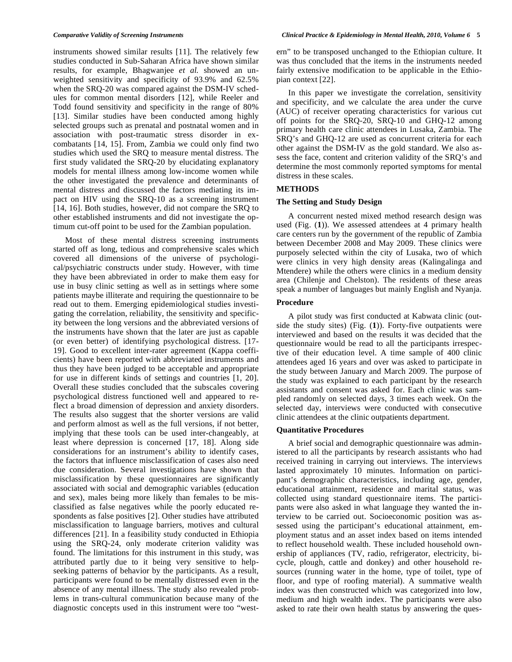instruments showed similar results [11]. The relatively few studies conducted in Sub-Saharan Africa have shown similar results, for example, Bhagwanjee *et al.* showed an unweighted sensitivity and specificity of 93.9% and 62.5% when the SRQ-20 was compared against the DSM-IV schedules for common mental disorders [12], while Reeler and Todd found sensitivity and specificity in the range of 80% [13]. Similar studies have been conducted among highly selected groups such as prenatal and postnatal women and in association with post-traumatic stress disorder in excombatants [14, 15]. From, Zambia we could only find two studies which used the SRQ to measure mental distress. The first study validated the SRQ-20 by elucidating explanatory models for mental illness among low-income women while the other investigated the prevalence and determinants of mental distress and discussed the factors mediating its impact on HIV using the SRQ-10 as a screening instrument [14, 16]. Both studies, however, did not compare the SRQ to other established instruments and did not investigate the optimum cut-off point to be used for the Zambian population.

Most of these mental distress screening instruments started off as long, tedious and comprehensive scales which covered all dimensions of the universe of psychological/psychiatric constructs under study. However, with time they have been abbreviated in order to make them easy for use in busy clinic setting as well as in settings where some patients maybe illiterate and requiring the questionnaire to be read out to them. Emerging epidemiological studies investigating the correlation, reliability, the sensitivity and specificity between the long versions and the abbreviated versions of the instruments have shown that the later are just as capable (or even better) of identifying psychological distress. [17- 19]. Good to excellent inter-rater agreement (Kappa coefficients) have been reported with abbreviated instruments and thus they have been judged to be acceptable and appropriate for use in different kinds of settings and countries [1, 20]. Overall these studies concluded that the subscales covering psychological distress functioned well and appeared to reflect a broad dimension of depression and anxiety disorders. The results also suggest that the shorter versions are valid and perform almost as well as the full versions, if not better, implying that these tools can be used inter-changeably, at least where depression is concerned [17, 18]. Along side considerations for an instrument's ability to identify cases, the factors that influence misclassification of cases also need due consideration. Several investigations have shown that misclassification by these questionnaires are significantly associated with social and demographic variables (education and sex), males being more likely than females to be misclassified as false negatives while the poorly educated respondents as false positives [2]. Other studies have attributed misclassification to language barriers, motives and cultural differences [21]. In a feasibility study conducted in Ethiopia using the SRQ-24, only moderate criterion validity was found. The limitations for this instrument in this study, was attributed partly due to it being very sensitive to helpseeking patterns of behavior by the participants. As a result, participants were found to be mentally distressed even in the absence of any mental illness. The study also revealed problems in trans-cultural communication because many of the diagnostic concepts used in this instrument were too "western" to be transposed unchanged to the Ethiopian culture. It was thus concluded that the items in the instruments needed fairly extensive modification to be applicable in the Ethiopian context [22].

In this paper we investigate the correlation, sensitivity and specificity, and we calculate the area under the curve (AUC) of receiver operating characteristics for various cut off points for the SRQ-20, SRQ-10 and GHQ-12 among primary health care clinic attendees in Lusaka, Zambia. The SRQ's and GHQ-12 are used as concurrent criteria for each other against the DSM-IV as the gold standard. We also assess the face, content and criterion validity of the SRQ's and determine the most commonly reported symptoms for mental distress in these scales.

# **METHODS**

# **The Setting and Study Design**

A concurrent nested mixed method research design was used (Fig. (**1**)). We assessed attendees at 4 primary health care centers run by the government of the republic of Zambia between December 2008 and May 2009. These clinics were purposely selected within the city of Lusaka, two of which were clinics in very high density areas (Kalingalinga and Mtendere) while the others were clinics in a medium density area (Chilenje and Chelston). The residents of these areas speak a number of languages but mainly English and Nyanja.

# **Procedure**

A pilot study was first conducted at Kabwata clinic (outside the study sites) (Fig. (**1**)). Forty-five outpatients were interviewed and based on the results it was decided that the questionnaire would be read to all the participants irrespective of their education level. A time sample of 400 clinic attendees aged 16 years and over was asked to participate in the study between January and March 2009. The purpose of the study was explained to each participant by the research assistants and consent was asked for. Each clinic was sampled randomly on selected days, 3 times each week. On the selected day, interviews were conducted with consecutive clinic attendees at the clinic outpatients department.

# **Quantitative Procedures**

A brief social and demographic questionnaire was administered to all the participants by research assistants who had received training in carrying out interviews. The interviews lasted approximately 10 minutes. Information on participant's demographic characteristics, including age, gender, educational attainment, residence and marital status, was collected using standard questionnaire items. The participants were also asked in what language they wanted the interview to be carried out. Socioeconomic position was assessed using the participant's educational attainment, employment status and an asset index based on items intended to reflect household wealth. These included household ownership of appliances (TV, radio, refrigerator, electricity, bicycle, plough, cattle and donkey) and other household resources (running water in the home, type of toilet, type of floor, and type of roofing material). A summative wealth index was then constructed which was categorized into low, medium and high wealth index. The participants were also asked to rate their own health status by answering the ques-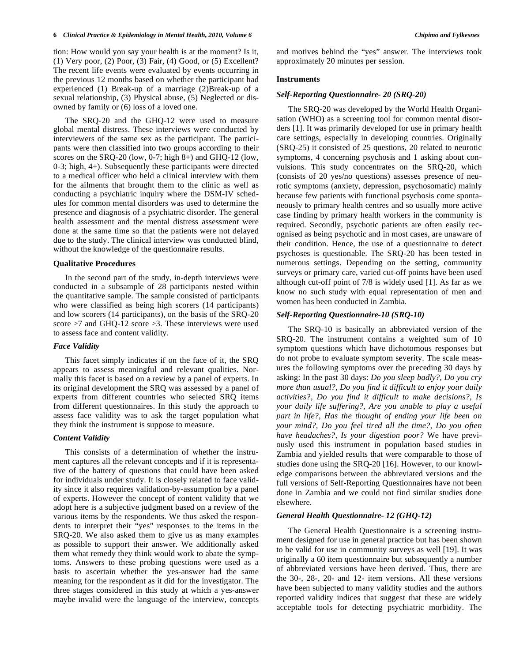#### **6** *Clinical Practice & Epidemiology in Mental Health, 2010, Volume 6 Chipimo and Fylkesnes*

tion: How would you say your health is at the moment? Is it, (1) Very poor, (2) Poor, (3) Fair, (4) Good, or (5) Excellent? The recent life events were evaluated by events occurring in the previous 12 months based on whether the participant had experienced (1) Break-up of a marriage (2)Break-up of a sexual relationship, (3) Physical abuse, (5) Neglected or disowned by family or (6) loss of a loved one.

The SRQ-20 and the GHQ-12 were used to measure global mental distress. These interviews were conducted by interviewers of the same sex as the participant. The participants were then classified into two groups according to their scores on the SRQ-20 (low, 0-7; high 8+) and GHQ-12 (low, 0-3; high, 4+). Subsequently these participants were directed to a medical officer who held a clinical interview with them for the ailments that brought them to the clinic as well as conducting a psychiatric inquiry where the DSM-IV schedules for common mental disorders was used to determine the presence and diagnosis of a psychiatric disorder. The general health assessment and the mental distress assessment were done at the same time so that the patients were not delayed due to the study. The clinical interview was conducted blind, without the knowledge of the questionnaire results.

#### **Qualitative Procedures**

In the second part of the study, in-depth interviews were conducted in a subsample of 28 participants nested within the quantitative sample. The sample consisted of participants who were classified as being high scorers (14 participants) and low scorers (14 participants), on the basis of the SRQ-20 score >7 and GHQ-12 score >3. These interviews were used to assess face and content validity.

#### *Face Validity*

This facet simply indicates if on the face of it, the SRQ appears to assess meaningful and relevant qualities. Normally this facet is based on a review by a panel of experts. In its original development the SRQ was assessed by a panel of experts from different countries who selected SRQ items from different questionnaires. In this study the approach to assess face validity was to ask the target population what they think the instrument is suppose to measure.

#### *Content Validity*

This consists of a determination of whether the instrument captures all the relevant concepts and if it is representative of the battery of questions that could have been asked for individuals under study. It is closely related to face validity since it also requires validation-by-assumption by a panel of experts. However the concept of content validity that we adopt here is a subjective judgment based on a review of the various items by the respondents. We thus asked the respondents to interpret their "yes" responses to the items in the SRQ-20. We also asked them to give us as many examples as possible to support their answer. We additionally asked them what remedy they think would work to abate the symptoms. Answers to these probing questions were used as a basis to ascertain whether the yes-answer had the same meaning for the respondent as it did for the investigator. The three stages considered in this study at which a yes-answer maybe invalid were the language of the interview, concepts and motives behind the "yes" answer. The interviews took approximately 20 minutes per session.

# **Instruments**

#### *Self-Reporting Questionnaire- 20 (SRQ-20)*

The SRQ-20 was developed by the World Health Organisation (WHO) as a screening tool for common mental disorders [1]. It was primarily developed for use in primary health care settings, especially in developing countries. Originally (SRQ-25) it consisted of 25 questions, 20 related to neurotic symptoms, 4 concerning psychosis and 1 asking about convulsions. This study concentrates on the SRQ-20, which (consists of 20 yes/no questions) assesses presence of neurotic symptoms (anxiety, depression, psychosomatic) mainly because few patients with functional psychosis come spontaneously to primary health centres and so usually more active case finding by primary health workers in the community is required. Secondly, psychotic patients are often easily recognised as being psychotic and in most cases, are unaware of their condition. Hence, the use of a questionnaire to detect psychoses is questionable. The SRQ-20 has been tested in numerous settings. Depending on the setting, community surveys or primary care, varied cut-off points have been used although cut-off point of 7/8 is widely used [1]. As far as we know no such study with equal representation of men and women has been conducted in Zambia.

#### *Self-Reporting Questionnaire-10 (SRQ-10)*

The SRQ-10 is basically an abbreviated version of the SRQ-20. The instrument contains a weighted sum of 10 symptom questions which have dichotomous responses but do not probe to evaluate symptom severity. The scale measures the following symptoms over the preceding 30 days by asking: In the past 30 days: *Do you sleep badly?, Do you cry more than usual?, Do you find it difficult to enjoy your daily activities?, Do you find it difficult to make decisions?, Is your daily life suffering?, Are you unable to play a useful part in life?, Has the thought of ending your life been on your mind?, Do you feel tired all the time?, Do you often have headaches?, Is your digestion poor?* We have previously used this instrument in population based studies in Zambia and yielded results that were comparable to those of studies done using the SRQ-20 [16]. However, to our knowledge comparisons between the abbreviated versions and the full versions of Self-Reporting Questionnaires have not been done in Zambia and we could not find similar studies done elsewhere.

# *General Health Questionnaire- 12 (GHQ-12)*

The General Health Questionnaire is a screening instrument designed for use in general practice but has been shown to be valid for use in community surveys as well [19]. It was originally a 60 item questionnaire but subsequently a number of abbreviated versions have been derived. Thus, there are the 30-, 28-, 20- and 12- item versions. All these versions have been subjected to many validity studies and the authors reported validity indices that suggest that these are widely acceptable tools for detecting psychiatric morbidity. The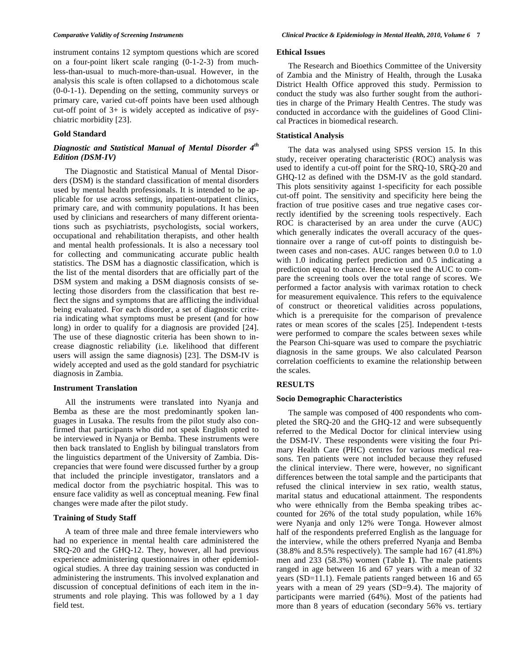instrument contains 12 symptom questions which are scored on a four-point likert scale ranging (0-1-2-3) from muchless-than-usual to much-more-than-usual. However, in the analysis this scale is often collapsed to a dichotomous scale (0-0-1-1). Depending on the setting, community surveys or primary care, varied cut-off points have been used although cut-off point of 3+ is widely accepted as indicative of psychiatric morbidity [23].

# **Gold Standard**

# *Diagnostic and Statistical Manual of Mental Disorder 4th Edition (DSM-IV)*

The Diagnostic and Statistical Manual of Mental Disorders (DSM) is the standard classification of mental disorders used by mental health professionals. It is intended to be applicable for use across settings, inpatient-outpatient clinics, primary care, and with community populations. It has been used by clinicians and researchers of many different orientations such as psychiatrists, psychologists, social workers, occupational and rehabilitation therapists, and other health and mental health professionals. It is also a necessary tool for collecting and communicating accurate public health statistics. The DSM has a diagnostic classification, which is the list of the mental disorders that are officially part of the DSM system and making a DSM diagnosis consists of selecting those disorders from the classification that best reflect the signs and symptoms that are afflicting the individual being evaluated. For each disorder, a set of diagnostic criteria indicating what symptoms must be present (and for how long) in order to qualify for a diagnosis are provided [24]. The use of these diagnostic criteria has been shown to increase diagnostic reliability (i.e. likelihood that different users will assign the same diagnosis) [23]. The DSM-IV is widely accepted and used as the gold standard for psychiatric diagnosis in Zambia.

#### **Instrument Translation**

All the instruments were translated into Nyanja and Bemba as these are the most predominantly spoken languages in Lusaka. The results from the pilot study also confirmed that participants who did not speak English opted to be interviewed in Nyanja or Bemba. These instruments were then back translated to English by bilingual translators from the linguistics department of the University of Zambia. Discrepancies that were found were discussed further by a group that included the principle investigator, translators and a medical doctor from the psychiatric hospital. This was to ensure face validity as well as conceptual meaning. Few final changes were made after the pilot study.

### **Training of Study Staff**

A team of three male and three female interviewers who had no experience in mental health care administered the SRQ-20 and the GHQ-12. They, however, all had previous experience administering questionnaires in other epidemiological studies. A three day training session was conducted in administering the instruments. This involved explanation and discussion of conceptual definitions of each item in the instruments and role playing. This was followed by a 1 day field test.

## **Ethical Issues**

The Research and Bioethics Committee of the University of Zambia and the Ministry of Health, through the Lusaka District Health Office approved this study. Permission to conduct the study was also further sought from the authorities in charge of the Primary Health Centres. The study was conducted in accordance with the guidelines of Good Clinical Practices in biomedical research.

#### **Statistical Analysis**

The data was analysed using SPSS version 15. In this study, receiver operating characteristic (ROC) analysis was used to identify a cut-off point for the SRQ-10, SRQ-20 and GHQ-12 as defined with the DSM-IV as the gold standard. This plots sensitivity against 1-specificity for each possible cut-off point. The sensitivity and specificity here being the fraction of true positive cases and true negative cases correctly identified by the screening tools respectively. Each ROC is characterised by an area under the curve (AUC) which generally indicates the overall accuracy of the questionnaire over a range of cut-off points to distinguish between cases and non-cases. AUC ranges between 0.0 to 1.0 with 1.0 indicating perfect prediction and 0.5 indicating a prediction equal to chance. Hence we used the AUC to compare the screening tools over the total range of scores. We performed a factor analysis with varimax rotation to check for measurement equivalence. This refers to the equivalence of construct or theoretical validities across populations, which is a prerequisite for the comparison of prevalence rates or mean scores of the scales [25]. Independent t-tests were performed to compare the scales between sexes while the Pearson Chi-square was used to compare the psychiatric diagnosis in the same groups. We also calculated Pearson correlation coefficients to examine the relationship between the scales.

# **RESULTS**

# **Socio Demographic Characteristics**

The sample was composed of 400 respondents who completed the SRQ-20 and the GHQ-12 and were subsequently referred to the Medical Doctor for clinical interview using the DSM-IV. These respondents were visiting the four Primary Health Care (PHC) centres for various medical reasons. Ten patients were not included because they refused the clinical interview. There were, however, no significant differences between the total sample and the participants that refused the clinical interview in sex ratio, wealth status, marital status and educational attainment. The respondents who were ethnically from the Bemba speaking tribes accounted for 26% of the total study population, while 16% were Nyanja and only 12% were Tonga. However almost half of the respondents preferred English as the language for the interview, while the others preferred Nyanja and Bemba (38.8% and 8.5% respectively). The sample had 167 (41.8%) men and 233 (58.3%) women (Table **1**). The male patients ranged in age between 16 and 67 years with a mean of 32 years (SD=11.1). Female patients ranged between 16 and 65 years with a mean of 29 years (SD=9.4). The majority of participants were married (64%). Most of the patients had more than 8 years of education (secondary 56% vs. tertiary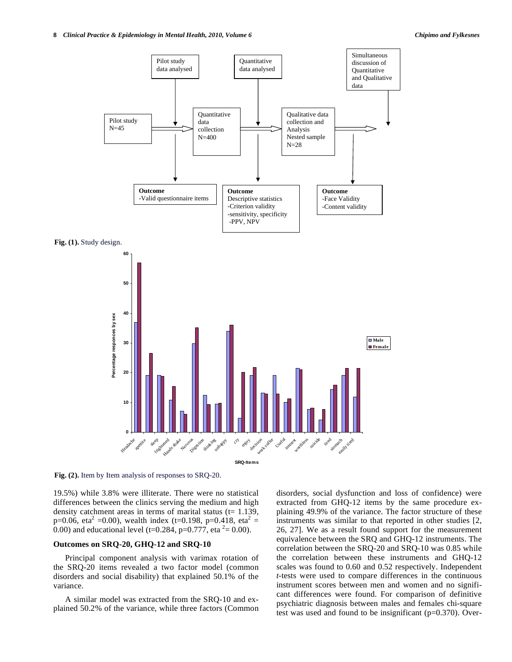

**Fig. (2).** Item by Item analysis of responses to SRQ-20.

19.5%) while 3.8% were illiterate. There were no statistical differences between the clinics serving the medium and high density catchment areas in terms of marital status  $(t= 1.139,$ p=0.06, eta<sup>2</sup> =0.00), wealth index (t=0.198, p=0.418, eta<sup>2</sup> = 0.00) and educational level (t=0.284, p=0.777, eta  $2 = 0.00$ ).

# **Outcomes on SRQ-20, GHQ-12 and SRQ-10**

Principal component analysis with varimax rotation of the SRQ-20 items revealed a two factor model (common disorders and social disability) that explained 50.1% of the variance.

A similar model was extracted from the SRQ-10 and explained 50.2% of the variance, while three factors (Common disorders, social dysfunction and loss of confidence) were extracted from GHQ-12 items by the same procedure explaining 49.9% of the variance. The factor structure of these instruments was similar to that reported in other studies [2, 26, 27]. We as a result found support for the measurement equivalence between the SRQ and GHQ-12 instruments. The correlation between the SRQ-20 and SRQ-10 was 0.85 while the correlation between these instruments and GHQ-12 scales was found to 0.60 and 0.52 respectively. Independent *t*-tests were used to compare differences in the continuous instrument scores between men and women and no significant differences were found. For comparison of definitive psychiatric diagnosis between males and females chi-square test was used and found to be insignificant (p=0.370). Over-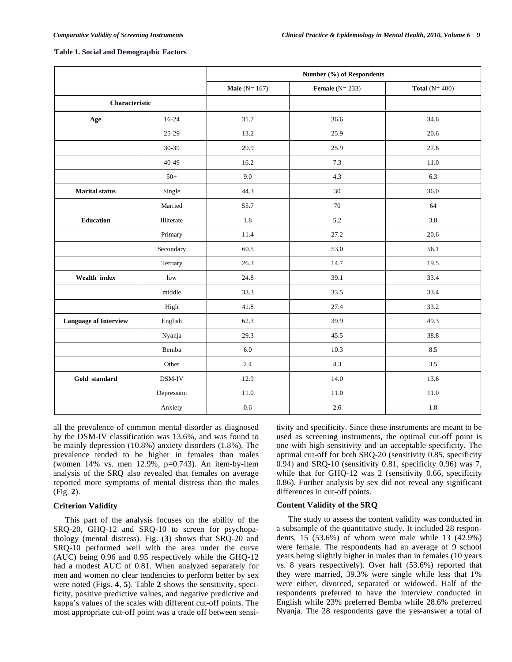#### **Table 1. Social and Demographic Factors**

|                              |            | Number (%) of Respondents |                  |                 |
|------------------------------|------------|---------------------------|------------------|-----------------|
|                              |            | <b>Male</b> ( $N = 167$ ) | Female $(N=233)$ | Total $(N=400)$ |
| Characteristic               |            |                           |                  |                 |
| Age                          | $16-24$    | 31.7                      | 36.6             | 34.6            |
|                              | $25-29$    | 13.2                      | 25.9             | 20.6            |
|                              | 30-39      | 29.9                      | 25.9             | 27.6            |
|                              | $40 - 49$  | 16.2                      | 7.3              | 11.0            |
|                              | $50+$      | 9.0                       | 4.3              | 6.3             |
| <b>Marital</b> status        | Single     | 44.3                      | 30               | 36.0            |
|                              | Married    | 55.7                      | 70               | 64              |
| Education                    | Illiterate | 1.8                       | 5.2              | 3.8             |
|                              | Primary    | 11.4                      | 27.2             | 20.6            |
|                              | Secondary  | 60.5                      | 53.0             | 56.1            |
|                              | Tertiary   | 26.3                      | 14.7             | 19.5            |
| Wealth index                 | low        | 24.8                      | 39.1             | 33.4            |
|                              | middle     | 33.3                      | 33.5             | 33.4            |
|                              | High       | 41.8                      | 27.4             | 33.2            |
| <b>Language of Interview</b> | English    | 62.3                      | 39.9             | 49.3            |
|                              | Nyanja     | 29.3                      | 45.5             | 38.8            |
|                              | Bemba      | 6.0                       | 10.3             | 8.5             |
|                              | Other      | 2.4                       | 4.3              | 3.5             |
| Gold standard                | DSM-IV     | 12.9                      | 14.0             | 13.6            |
|                              | Depression | 11.0                      | 11.0             | 11.0            |
|                              | Anxiety    | 0.6                       | 2.6              | 1.8             |

all the prevalence of common mental disorder as diagnosed by the DSM-IV classification was 13.6%, and was found to be mainly depression (10.8%) anxiety disorders (1.8%). The prevalence tended to be higher in females than males (women 14% vs. men 12.9%, p=0.743). An item-by-item analysis of the SRQ also revealed that females on average reported more symptoms of mental distress than the males (Fig. **2**).

# **Criterion Validity**

This part of the analysis focuses on the ability of the SRQ-20, GHQ-12 and SRQ-10 to screen for psychopathology (mental distress). Fig. (**3**) shows that SRQ-20 and SRQ-10 performed well with the area under the curve (AUC) being 0.96 and 0.95 respectively while the GHQ-12 had a modest AUC of 0.81. When analyzed separately for men and women no clear tendencies to perform better by sex were noted (Figs. **4**, **5**). Table **2** shows the sensitivity, specificity, positive predictive values, and negative predictive and kappa's values of the scales with different cut-off points. The most appropriate cut-off point was a trade off between sensitivity and specificity. Since these instruments are meant to be used as screening instruments, the optimal cut-off point is one with high sensitivity and an acceptable specificity. The optimal cut-off for both SRQ-20 (sensitivity 0.85, specificity 0.94) and SRQ-10 (sensitivity 0.81, specificity 0.96) was 7, while that for GHQ-12 was 2 (sensitivity 0.66, specificity 0.86). Further analysis by sex did not reveal any significant differences in cut-off points.

# **Content Validity of the SRQ**

The study to assess the content validity was conducted in a subsample of the quantitative study. It included 28 respondents, 15 (53.6%) of whom were male while 13 (42.9%) were female. The respondents had an average of 9 school years being slightly higher in males than in females (10 years vs. 8 years respectively). Over half (53.6%) reported that they were married, 39.3% were single while less that 1% were either, divorced, separated or widowed. Half of the respondents preferred to have the interview conducted in English while 23% preferred Bemba while 28.6% preferred Nyanja. The 28 respondents gave the yes-answer a total of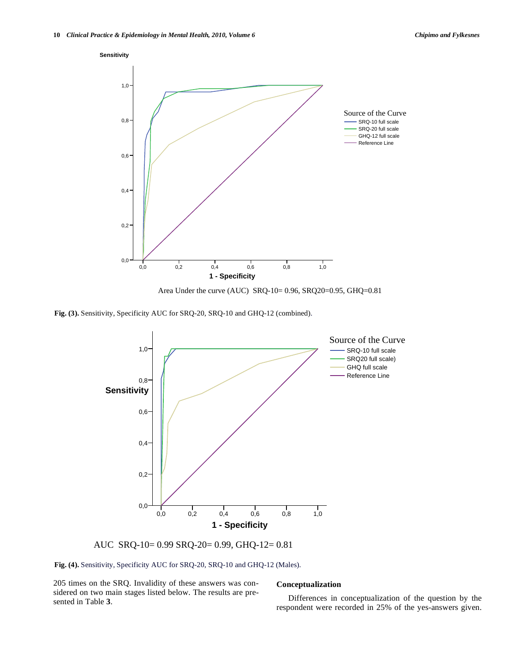

Area Under the curve (AUC) SRQ-10= 0.96, SRQ20=0.95, GHQ=0.81

**Fig. (3).** Sensitivity, Specificity AUC for SRQ-20, SRQ-10 and GHQ-12 (combined).



AUC SRQ-10= 0.99 SRQ-20= 0.99, GHQ-12= 0.81

**Fig. (4).** Sensitivity, Specificity AUC for SRQ-20, SRQ-10 and GHQ-12 (Males).

205 times on the SRQ. Invalidity of these answers was considered on two main stages listed below. The results are presented in Table **3**.

# **Conceptualization**

Differences in conceptualization of the question by the respondent were recorded in 25% of the yes-answers given.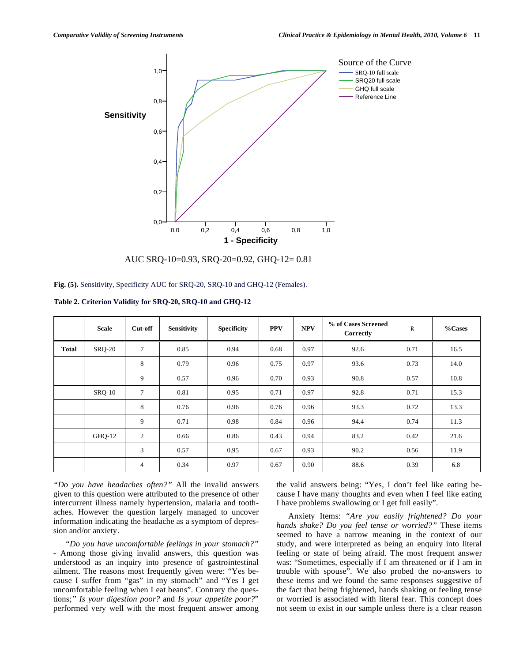

AUC SRQ-10=0.93, SRQ-20=0.92, GHQ-12= 0.81

**Table 2. Criterion Validity for SRQ-20, SRQ-10 and GHQ-12**

|              | <b>Scale</b>  | Cut-off        | <b>Sensitivity</b> | <b>Specificity</b> | <b>PPV</b> | <b>NPV</b> | % of Cases Screened<br>Correctly | k    | $% \simeq$ Cases |
|--------------|---------------|----------------|--------------------|--------------------|------------|------------|----------------------------------|------|------------------|
| <b>Total</b> | <b>SRQ-20</b> | 7              | 0.85               | 0.94               | 0.68       | 0.97       | 92.6                             | 0.71 | 16.5             |
|              |               | 8              | 0.79               | 0.96               | 0.75       | 0.97       | 93.6                             | 0.73 | 14.0             |
|              |               | 9              | 0.57               | 0.96               | 0.70       | 0.93       | 90.8                             | 0.57 | 10.8             |
|              | $SRQ-10$      | 7              | 0.81               | 0.95               | 0.71       | 0.97       | 92.8                             | 0.71 | 15.3             |
|              |               | 8              | 0.76               | 0.96               | 0.76       | 0.96       | 93.3                             | 0.72 | 13.3             |
|              |               | 9              | 0.71               | 0.98               | 0.84       | 0.96       | 94.4                             | 0.74 | 11.3             |
|              | GHQ-12        | $\overline{c}$ | 0.66               | 0.86               | 0.43       | 0.94       | 83.2                             | 0.42 | 21.6             |
|              |               | 3              | 0.57               | 0.95               | 0.67       | 0.93       | 90.2                             | 0.56 | 11.9             |
|              |               | 4              | 0.34               | 0.97               | 0.67       | 0.90       | 88.6                             | 0.39 | 6.8              |

*"Do you have headaches often?"* All the invalid answers given to this question were attributed to the presence of other intercurrent illness namely hypertension, malaria and toothaches. However the question largely managed to uncover information indicating the headache as a symptom of depression and/or anxiety.

*"Do you have uncomfortable feelings in your stomach?"*  - Among those giving invalid answers, this question was understood as an inquiry into presence of gastrointestinal ailment. The reasons most frequently given were: "Yes because I suffer from "gas" in my stomach" and "Yes I get uncomfortable feeling when I eat beans". Contrary the questions;*" Is your digestion poor?* and *Is your appetite poor?*" performed very well with the most frequent answer among the valid answers being: "Yes, I don't feel like eating because I have many thoughts and even when I feel like eating I have problems swallowing or I get full easily".

Anxiety Items: *"Are you easily frightened? Do your hands shake? Do you feel tense or worried?"* These items seemed to have a narrow meaning in the context of our study, and were interpreted as being an enquiry into literal feeling or state of being afraid. The most frequent answer was: "Sometimes, especially if I am threatened or if I am in trouble with spouse". We also probed the no-answers to these items and we found the same responses suggestive of the fact that being frightened, hands shaking or feeling tense or worried is associated with literal fear. This concept does not seem to exist in our sample unless there is a clear reason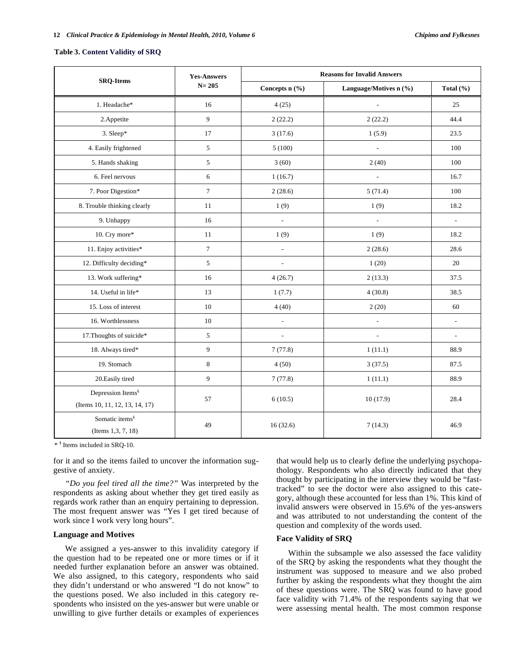#### **Table 3. Content Validity of SRQ**

|                                                                 | <b>Yes-Answers</b><br>$N = 205$ | <b>Reasons for Invalid Answers</b> |                          |                          |  |
|-----------------------------------------------------------------|---------------------------------|------------------------------------|--------------------------|--------------------------|--|
| <b>SRQ-Items</b>                                                |                                 | Concepts $n$ (%)                   | Language/Motives n (%)   | Total (%)                |  |
| 1. Headache*                                                    | 16                              | 4(25)                              | $\Box$                   | 25                       |  |
| 2.Appetite                                                      | 9                               | 2(22.2)                            | 2(22.2)                  | 44.4                     |  |
| 3. Sleep*                                                       | 17                              | 3(17.6)                            | 1(5.9)                   | 23.5                     |  |
| 4. Easily frightened                                            | 5                               | 5(100)                             | $\overline{\phantom{a}}$ | 100                      |  |
| 5. Hands shaking                                                | $\mathfrak s$                   | 3(60)                              | 2(40)                    | 100                      |  |
| 6. Feel nervous                                                 | 6                               | 1(16.7)                            | $\overline{\phantom{a}}$ | 16.7                     |  |
| 7. Poor Digestion*                                              | $\tau$                          | 2(28.6)                            | 5(71.4)                  | 100                      |  |
| 8. Trouble thinking clearly                                     | 11                              | 1(9)                               | 1(9)                     | 18.2                     |  |
| 9. Unhappy                                                      | 16                              | ÷,                                 | $\overline{\phantom{a}}$ | $\overline{\phantom{a}}$ |  |
| 10. Cry more*                                                   | 11                              | 1(9)                               | 1(9)                     | 18.2                     |  |
| 11. Enjoy activities*                                           | $\tau$                          | $\overline{a}$                     | 2(28.6)                  | 28.6                     |  |
| 12. Difficulty deciding*                                        | 5                               | $\overline{a}$                     | 1(20)                    | 20                       |  |
| 13. Work suffering*                                             | 16                              | 4(26.7)                            | 2(13.3)                  | 37.5                     |  |
| 14. Useful in life*                                             | 13                              | 1(7.7)                             | 4(30.8)                  | 38.5                     |  |
| 15. Loss of interest                                            | 10                              | 4(40)                              | 2(20)                    | 60                       |  |
| 16. Worthlessness                                               | 10                              | $\blacksquare$                     | $\frac{1}{2}$            | $\frac{1}{2}$            |  |
| 17. Thoughts of suicide*                                        | 5                               | $\blacksquare$                     | $\overline{a}$           | ÷,                       |  |
| 18. Always tired*                                               | 9                               | 7(77.8)                            | 1(11.1)                  | 88.9                     |  |
| 19. Stomach                                                     | $\,8\,$                         | 4(50)                              | 3(37.5)                  | 87.5                     |  |
| 20. Easily tired                                                | 9                               | 7(77.8)                            | 1(11.1)                  | 88.9                     |  |
| Depression Items <sup>§</sup><br>(Items 10, 11, 12, 13, 14, 17) | 57                              | 6(10.5)                            | 10(17.9)                 | 28.4                     |  |
| Somatic items <sup>§</sup><br>(Items 1,3, 7, 18)                | 49                              | 16(32.6)                           | 7(14.3)                  | 46.9                     |  |

\* § Items included in SRQ-10.

for it and so the items failed to uncover the information suggestive of anxiety.

*"Do you feel tired all the time?"* Was interpreted by the respondents as asking about whether they get tired easily as regards work rather than an enquiry pertaining to depression. The most frequent answer was "Yes I get tired because of work since I work very long hours".

# **Language and Motives**

We assigned a yes-answer to this invalidity category if the question had to be repeated one or more times or if it needed further explanation before an answer was obtained. We also assigned, to this category, respondents who said they didn't understand or who answered "I do not know" to the questions posed. We also included in this category respondents who insisted on the yes-answer but were unable or unwilling to give further details or examples of experiences

that would help us to clearly define the underlying psychopathology. Respondents who also directly indicated that they thought by participating in the interview they would be "fasttracked" to see the doctor were also assigned to this category, although these accounted for less than 1%. This kind of invalid answers were observed in 15.6% of the yes-answers and was attributed to not understanding the content of the question and complexity of the words used.

# **Face Validity of SRQ**

Within the subsample we also assessed the face validity of the SRQ by asking the respondents what they thought the instrument was supposed to measure and we also probed further by asking the respondents what they thought the aim of these questions were. The SRQ was found to have good face validity with 71.4% of the respondents saying that we were assessing mental health. The most common response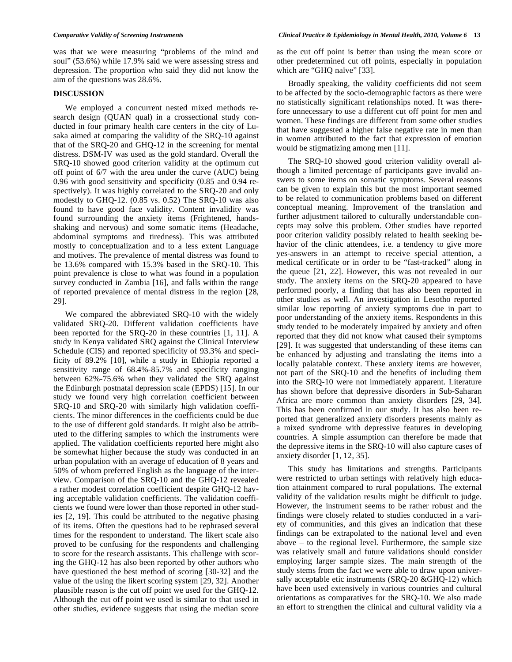was that we were measuring "problems of the mind and soul" (53.6%) while 17.9% said we were assessing stress and depression. The proportion who said they did not know the aim of the questions was 28.6%.

# **DISCUSSION**

We employed a concurrent nested mixed methods research design (QUAN qual) in a crossectional study conducted in four primary health care centers in the city of Lusaka aimed at comparing the validity of the SRQ-10 against that of the SRQ-20 and GHQ-12 in the screening for mental distress. DSM-IV was used as the gold standard. Overall the SRQ-10 showed good criterion validity at the optimum cut off point of 6/7 with the area under the curve (AUC) being 0.96 with good sensitivity and specificity (0.85 and 0.94 respectively). It was highly correlated to the SRQ-20 and only modestly to GHQ-12. (0.85 vs. 0.52) The SRQ-10 was also found to have good face validity. Content invalidity was found surrounding the anxiety items (Frightened, handsshaking and nervous) and some somatic items (Headache, abdominal symptoms and tiredness). This was attributed mostly to conceptualization and to a less extent Language and motives. The prevalence of mental distress was found to be 13.6% compared with 15.3% based in the SRQ-10. This point prevalence is close to what was found in a population survey conducted in Zambia [16], and falls within the range of reported prevalence of mental distress in the region [28, 29].

We compared the abbreviated SRQ-10 with the widely validated SRQ-20. Different validation coefficients have been reported for the SRQ-20 in these countries [1, 11]. A study in Kenya validated SRQ against the Clinical Interview Schedule (CIS) and reported specificity of 93.3% and specificity of 89.2% [10], while a study in Ethiopia reported a sensitivity range of 68.4%-85.7% and specificity ranging between 62%-75.6% when they validated the SRQ against the Edinburgh postnatal depression scale (EPDS) [15]. In our study we found very high correlation coefficient between SRQ-10 and SRQ-20 with similarly high validation coefficients. The minor differences in the coefficients could be due to the use of different gold standards. It might also be attributed to the differing samples to which the instruments were applied. The validation coefficients reported here might also be somewhat higher because the study was conducted in an urban population with an average of education of 8 years and 50% of whom preferred English as the language of the interview. Comparison of the SRQ-10 and the GHQ-12 revealed a rather modest correlation coefficient despite GHQ-12 having acceptable validation coefficients. The validation coefficients we found were lower than those reported in other studies [2, 19]. This could be attributed to the negative phasing of its items. Often the questions had to be rephrased several times for the respondent to understand. The likert scale also proved to be confusing for the respondents and challenging to score for the research assistants. This challenge with scoring the GHQ-12 has also been reported by other authors who have questioned the best method of scoring [30-32] and the value of the using the likert scoring system [29, 32]. Another plausible reason is the cut off point we used for the GHQ-12. Although the cut off point we used is similar to that used in other studies, evidence suggests that using the median score

as the cut off point is better than using the mean score or other predetermined cut off points, especially in population which are "GHO naïve" [33].

Broadly speaking, the validity coefficients did not seem to be affected by the socio-demographic factors as there were no statistically significant relationships noted. It was therefore unnecessary to use a different cut off point for men and women. These findings are different from some other studies that have suggested a higher false negative rate in men than in women attributed to the fact that expression of emotion would be stigmatizing among men [11].

The SRQ-10 showed good criterion validity overall although a limited percentage of participants gave invalid answers to some items on somatic symptoms. Several reasons can be given to explain this but the most important seemed to be related to communication problems based on different conceptual meaning. Improvement of the translation and further adjustment tailored to culturally understandable concepts may solve this problem. Other studies have reported poor criterion validity possibly related to health seeking behavior of the clinic attendees, i.e. a tendency to give more yes-answers in an attempt to receive special attention, a medical certificate or in order to be "fast-tracked" along in the queue [21, 22]. However, this was not revealed in our study. The anxiety items on the SRQ-20 appeared to have performed poorly, a finding that has also been reported in other studies as well. An investigation in Lesotho reported similar low reporting of anxiety symptoms due in part to poor understanding of the anxiety items. Respondents in this study tended to be moderately impaired by anxiety and often reported that they did not know what caused their symptoms [29]. It was suggested that understanding of these items can be enhanced by adjusting and translating the items into a locally palatable context. These anxiety items are however, not part of the SRQ-10 and the benefits of including them into the SRQ-10 were not immediately apparent. Literature has shown before that depressive disorders in Sub-Saharan Africa are more common than anxiety disorders [29, 34]. This has been confirmed in our study. It has also been reported that generalized anxiety disorders presents mainly as a mixed syndrome with depressive features in developing countries. A simple assumption can therefore be made that the depressive items in the SRQ-10 will also capture cases of anxiety disorder [1, 12, 35].

This study has limitations and strengths. Participants were restricted to urban settings with relatively high education attainment compared to rural populations. The external validity of the validation results might be difficult to judge. However, the instrument seems to be rather robust and the findings were closely related to studies conducted in a variety of communities, and this gives an indication that these findings can be extrapolated to the national level and even above – to the regional level. Furthermore, the sample size was relatively small and future validations should consider employing larger sample sizes. The main strength of the study stems from the fact we were able to draw upon universally acceptable etic instruments (SRQ-20 &GHQ-12) which have been used extensively in various countries and cultural orientations as comparatives for the SRQ-10. We also made an effort to strengthen the clinical and cultural validity via a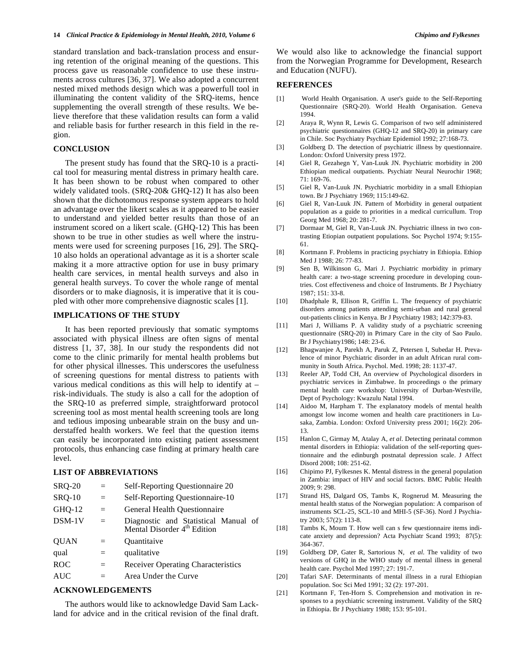standard translation and back-translation process and ensuring retention of the original meaning of the questions. This process gave us reasonable confidence to use these instruments across cultures [36, 37]. We also adopted a concurrent nested mixed methods design which was a powerfull tool in illuminating the content validity of the SRQ-items, hence supplementing the overall strength of these results. We believe therefore that these validation results can form a valid and reliable basis for further research in this field in the region.

# **CONCLUSION**

The present study has found that the SRQ-10 is a practical tool for measuring mental distress in primary health care. It has been shown to be robust when compared to other widely validated tools. (SRQ-20& GHQ-12) It has also been shown that the dichotomous response system appears to hold an advantage over the likert scales as it appeared to be easier to understand and yielded better results than those of an instrument scored on a likert scale. (GHQ-12) This has been shown to be true in other studies as well where the instruments were used for screening purposes [16, 29]. The SRQ-10 also holds an operational advantage as it is a shorter scale making it a more attractive option for use in busy primary health care services, in mental health surveys and also in general health surveys. To cover the whole range of mental disorders or to make diagnosis, it is imperative that it is coupled with other more comprehensive diagnostic scales [1].

# **IMPLICATIONS OF THE STUDY**

It has been reported previously that somatic symptoms associated with physical illness are often signs of mental distress [1, 37, 38]. In our study the respondents did not come to the clinic primarily for mental health problems but for other physical illnesses. This underscores the usefulness of screening questions for mental distress to patients with various medical conditions as this will help to identify at – risk-individuals. The study is also a call for the adoption of the SRQ-10 as preferred simple, straightforward protocol screening tool as most mental health screening tools are long and tedious imposing unbearable strain on the busy and understaffed health workers. We feel that the question items can easily be incorporated into existing patient assessment protocols, thus enhancing case finding at primary health care level.

# **LIST OF ABBREVIATIONS**

| <b>SRQ-20</b> | $=$      | Self-Reporting Questionnaire 20                                                 |  |  |  |
|---------------|----------|---------------------------------------------------------------------------------|--|--|--|
| <b>SRQ-10</b> | $=$      | Self-Reporting Questionnaire-10                                                 |  |  |  |
| GHQ-12        | $=$      | General Health Questionnaire                                                    |  |  |  |
| $DSM-1V$      | $=$      | Diagnostic and Statistical Manual of<br>Mental Disorder 4 <sup>th</sup> Edition |  |  |  |
| <b>OUAN</b>   | $=$      | Ouantitaive                                                                     |  |  |  |
| qual          | $\equiv$ | qualitative                                                                     |  |  |  |
| <b>ROC</b>    | $=$      | Receiver Operating Characteristics                                              |  |  |  |
| <b>AUC</b>    | $=$      | Area Under the Curve                                                            |  |  |  |
|               |          |                                                                                 |  |  |  |

# **ACKNOWLEDGEMENTS**

The authors would like to acknowledge David Sam Lackland for advice and in the critical revision of the final draft.

#### **REFERENCES**

and Education (NUFU).

- [1] World Health Organisation. A user's guide to the Self-Reporting Questionnaire (SRQ-20). World Health Organisation. Geneva 1994.
- [2] Araya R, Wynn R, Lewis G. Comparison of two self administered psychiatric questionnaires (GHQ-12 and SRQ-20) in primary care in Chile. Soc Psychiatry Psychiatr Epidemiol 1992; 27:168-73.
- [3] Goldberg D. The detection of psychiatric illness by questionnaire. London: Oxford University press 1972.
- [4] Giel R, Gezahegn Y, Van-Luuk JN. Psychiatric morbidity in 200 Ethiopian medical outpatients. Psychiatr Neural Neurochir 1968;  $71:169-76$ .
- [5] Giel R, Van-Luuk JN. Psychiatric morbidity in a small Ethiopian town. Br J Psychiatry 1969; 115:149-62.
- [6] Giel R, Van-Luuk JN. Pattern of Morbidity in general outpatient population as a guide to priorities in a medical curricullum. Trop Georg Med 1968; 20: 281-7.
- [7] Dormaar M, Giel R, Van-Luuk JN. Psychiatric illness in two contrasting Etiopian outpatient populations. Soc Psychol 1974; 9:155- 61.
- [8] Kortmann F. Problems in practicing psychiatry in Ethiopia. Ethiop Med J 1988; 26: 77-83.
- [9] Sen B, Wilkinson G, Mari J. Psychiatric morbidity in primary health care: a two-stage screening procedure in developing countries. Cost effectiveness and choice of Instruments. Br J Psychiatry 1987; 151: 33-8.
- [10] Dhadphale R, Ellison R, Griffin L. The frequency of psychiatric disorders among patients attending semi-urban and rural general out-patients clinics in Kenya. Br J Psychiatry 1983; 142:379-83.
- [11] Mari J, Williams P. A validity study of a psychiatric screening questionnaire (SRQ-20) in Primary Care in the city of Sao Paulo. Br J Psychiatry1986; 148: 23-6.
- [12] Bhagwanjee A, Parekh A, Paruk Z, Petersen I, Subedar H. Prevalence of minor Psychiatric disorder in an adult African rural community in South Africa. Psychol. Med. 1998; 28: 1137-47.
- [13] Reeler AP, Todd CH, An overview of Psychological disorders in psychiatric services in Zimbabwe. In proceedings o the primary mental health care workshop: University of Durban-Westville, Dept of Psychology: Kwazulu Natal 1994.
- [14] Aidoo M, Harpham T. The explanatory models of mental health amongst low income women and health care practitioners in Lusaka, Zambia. London: Oxford University press 2001; 16(2): 206- 13.
- [15] Hanlon C, Girmay M, Atalay A, *et al*. Detecting perinatal common mental disorders in Ethiopia: validation of the self-reporting questionnaire and the edinburgh postnatal depression scale. J Affect Disord 2008; 108: 251-62.
- [16] Chipimo PJ, Fylkesnes K. Mental distress in the general population in Zambia: impact of HIV and social factors. BMC Public Health 2009; 9: 298.
- [17] Strand HS, Dalgard OS, Tambs K, Rognerud M. Measuring the mental health status of the Norwegian population: A comparison of instruments SCL-25, SCL-10 and MHI-5 (SF-36). Nord J Psychiatry 2003; 57(2): 113-8.
- [18] Tambs K, Moum T. How well can s few questionnaire items indicate anxiety and depression? Acta Psychiatr Scand 1993; 87(5): 364-367.
- [19] Goldberg DP, Gater R, Sartorious N, *et al*. The validity of two versions of GHQ in the WHO study of mental illness in general health care. Psychol Med 1997; 27: 191-7.
- [20] Tafari SAF. Determinants of mental illness in a rural Ethiopian population. Soc Sci Med 1991; 32 (2): 197-201.
- [21] Kortmann F, Ten-Horn S. Comprehension and motivation in responses to a psychiatric screening instrument. Validity of the SRQ in Ethiopia. Br J Psychiatry 1988; 153: 95-101.